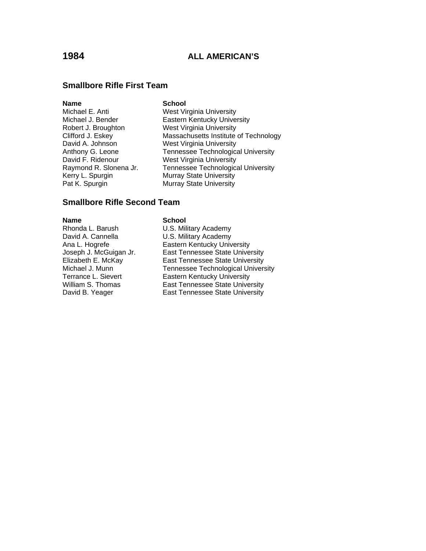### **Smallbore Rifle First Team**

| <b>Name</b>            | <b>School</b>                             |
|------------------------|-------------------------------------------|
| Michael E. Anti        | <b>West Virginia University</b>           |
| Michael J. Bender      | <b>Eastern Kentucky University</b>        |
| Robert J. Broughton    | <b>West Virginia University</b>           |
| Clifford J. Eskey      | Massachusetts Institute of Technology     |
| David A. Johnson       | <b>West Virginia University</b>           |
| Anthony G. Leone       | <b>Tennessee Technological University</b> |
| David F. Ridenour      | <b>West Virginia University</b>           |
| Raymond R. Slonena Jr. | <b>Tennessee Technological University</b> |
| Kerry L. Spurgin       | <b>Murray State University</b>            |
| Pat K. Spurgin         | <b>Murray State University</b>            |

### **Smallbore Rifle Second Team**

**Name** School

Rhonda L. Barush U.S. Military Academy<br>David A. Cannella U.S. Military Academy David A. Cannella U.S. Military Academy

Ana L. Hogrefe **Eastern Kentucky University** Joseph J. McGuigan Jr. East Tennessee State University<br>Elizabeth E. McKay East Tennessee State University Elizabeth E. McKay East Tennessee State University<br>Michael J. Munn Tennessee Technological Univers Michael J. Munn Tennessee Technological University<br>
Terrance L. Sievert Eastern Kentucky University Terrance L. Sievert **Eastern Kentucky University**<br>
William S. Thomas **East Tennessee State Unive** East Tennessee State University David B. Yeager **East Tennessee State University**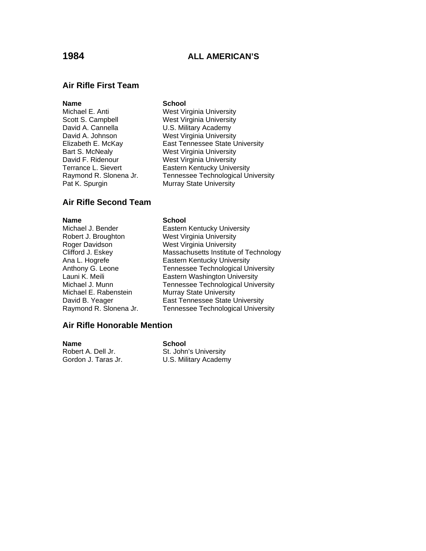### **Air Rifle First Team**

### **Name** School

- Pat K. Spurgin Murray State University
- Michael E. Anti West Virginia University Scott S. Campbell **Souting West Virginia University**<br>
David A. Cannella **M. Constant U.S. Military Academy** U.S. Military Academy David A. Johnson West Virginia University Elizabeth E. McKay East Tennessee State University Bart S. McNealy West Virginia University David F. Ridenour West Virginia University Terrance L. Sievert **Eastern Kentucky University** Raymond R. Slonena Jr. Tennessee Technological University

### **Air Rifle Second Team**

### **Name** School

Robert J. Broughton West Virginia University Roger Davidson West Virginia University Launi K. Meili **Eastern Washington University** Michael E. Rabenstein Murray State University Raymond R. Slonena Jr. Tennessee Technological University

# Michael J. Bender **Eastern Kentucky University** Clifford J. Eskey **Massachusetts Institute of Technology**<br>
Ana L. Hogrefe **Massachusetts University** Eastern Kentucky University Anthony G. Leone Tennessee Technological University

Michael J. Munn Tennessee Technological University David B. Yeager East Tennessee State University

### **Air Rifle Honorable Mention**

**Name** School Robert A. Dell Jr. St. John's University<br>Gordon J. Taras Jr. St. St. Military Academ U.S. Military Academy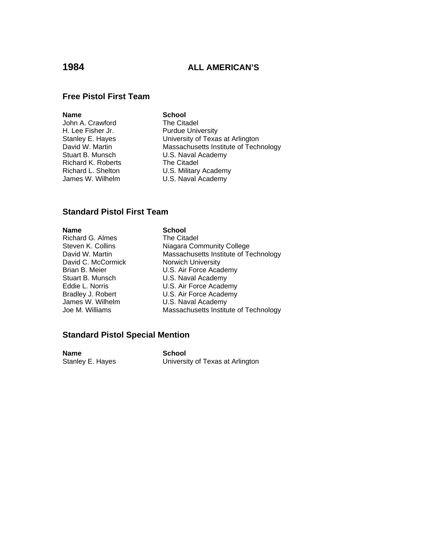### **Free Pistol First Team**

**Name**<br> **School**<br> **School**<br> **School**<br> **School**<br> **School**<br> **School**<br> **School**<br> **School** John A. Crawford H. Lee Fisher Jr. Purdue University Richard K. Roberts The Citadel

Stanley E. Hayes **B. E. Hayes** University of Texas at Arlington<br>David W. Martin **Nassachusetts Institute of Tech** Massachusetts Institute of Technology Stuart B. Munsch **U.S. Naval Academy** Richard L. Shelton U.S. Military Academy James W. Wilhelm **U.S. Naval Academy** 

# **Standard Pistol First Team**

**Name**<br>
Richard G. Almes<br>
The Citadel Richard G. Almes<br>Steven K. Collins David C. McCormick James W. Wilhelm U.S. Naval Academy<br>Joe M. Williams Massachusetts Institu

Niagara Community College David W. Martin **Massachusetts Institute of Technology**<br>David C. McCormick **Massachusetts** Institute of Technology Brian B. Meier **E. A. A. E. A. E. A. E. A. E. A. E. A. E. A. E. A. E. A. E. E. A. E. A. E. E. A. E. E. E. E.** Stuart B. Munsch<br>
Eddie L. Norris

U.S. Air Force Acade U.S. Air Force Academy Bradley J. Robert **U.S. Air Force Academy** Massachusetts Institute of Technology

### **Standard Pistol Special Mention**

**Name**<br>
Stanley E. Hayes<br>
Universi

University of Texas at Arlington